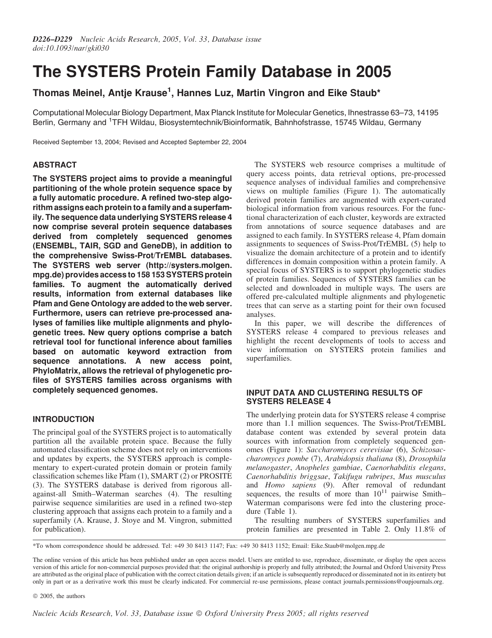# The SYSTERS Protein Family Database in 2005

## Thomas Meinel, Antje Krause<sup>1</sup>, Hannes Luz, Martin Vingron and Eike Staub\*

Computational Molecular Biology Department, Max Planck Institute for Molecular Genetics, Ihnestrasse 63–73, 14195 Berlin, Germany and <sup>1</sup>TFH Wildau, Biosystemtechnik/Bioinformatik, Bahnhofstrasse, 15745 Wildau, Germany

Received September 13, 2004; Revised and Accepted September 22, 2004

## ABSTRACT

The SYSTERS project aims to provide a meaningful partitioning of the whole protein sequence space by a fully automatic procedure. A refined two-step algorithm assigns each protein to a family and a superfamily. The sequence data underlying SYSTERS release 4 now comprise several protein sequence databases derived from completely sequenced genomes (ENSEMBL, TAIR, SGD and GeneDB), in addition to the comprehensive Swiss-Prot/TrEMBL databases. The SYSTERS web server [\(http://systers.molgen.](http://systers.molgen) mpg.de) provides access to 158 153 SYSTERS protein families. To augment the automatically derived results, information from external databases like Pfam and Gene Ontology are added to the web server. Furthermore, users can retrieve pre-processed analyses of families like multiple alignments and phylogenetic trees. New query options comprise a batch retrieval tool for functional inference about families based on automatic keyword extraction from sequence annotations. A new access point, PhyloMatrix, allows the retrieval of phylogenetic profiles of SYSTERS families across organisms with completely sequenced genomes.

## INTRODUCTION

The principal goal of the SYSTERS project is to automatically partition all the available protein space. Because the fully automated classification scheme does not rely on interventions and updates by experts, the SYSTERS approach is complementary to expert-curated protein domain or protein family classification schemes like Pfam (1), SMART (2) or PROSITE (3). The SYSTERS database is derived from rigorous allagainst-all Smith–Waterman searches (4). The resulting pairwise sequence similarities are used in a refined two-step clustering approach that assigns each protein to a family and a superfamily (A. Krause, J. Stoye and M. Vingron, submitted for publication).

The SYSTERS web resource comprises a multitude of query access points, data retrieval options, pre-processed sequence analyses of individual families and comprehensive views on multiple families (Figure 1). The automatically derived protein families are augmented with expert-curated biological information from various resources. For the functional characterization of each cluster, keywords are extracted from annotations of source sequence databases and are assigned to each family. In SYSTERS release 4, Pfam domain assignments to sequences of Swiss-Prot/TrEMBL (5) help to visualize the domain architecture of a protein and to identify differences in domain composition within a protein family. A special focus of SYSTERS is to support phylogenetic studies of protein families. Sequences of SYSTERS families can be selected and downloaded in multiple ways. The users are offered pre-calculated multiple alignments and phylogenetic trees that can serve as a starting point for their own focused analyses.

In this paper, we will describe the differences of SYSTERS release 4 compared to previous releases and highlight the recent developments of tools to access and view information on SYSTERS protein families and superfamilies.

## INPUT DATA AND CLUSTERING RESULTS OF SYSTERS RELEASE 4

The underlying protein data for SYSTERS release 4 comprise more than 1.1 million sequences. The Swiss-Prot/TrEMBL database content was extended by several protein data sources with information from completely sequenced genomes (Figure 1): Saccharomyces cerevisiae (6), Schizosaccharomyces pombe (7), Arabidopsis thaliana (8), Drosophila melanogaster, Anopheles gambiae, Caenorhabditis elegans, Caenorhabditis briggsae, Takifugu rubripes, Mus musculus and Homo sapiens (9). After removal of redundant sequences, the results of more than  $10^{11}$  pairwise Smith– Waterman comparisons were fed into the clustering procedure (Table 1).

The resulting numbers of SYSTERS superfamilies and protein families are presented in Table 2. Only 11.8% of

\*To whom correspondence should be addressed. Tel: +49 30 8413 1147; Fax: +49 30 8413 1152; Email: Eike.Staub@molgen.mpg.de

The online version of this article has been published under an open access model. Users are entitled to use, reproduce, disseminate, or display the open access version of this article for non-commercial purposes provided that: the original authorship is properly and fully attributed; the Journal and Oxford University Press are attributed as the original place of publication with the correct citation details given; if an article is subsequently reproduced or disseminated not in its entirety but only in part or as a derivative work this must be clearly indicated. For commercial re-use permissions, please contact journals.permissions@oupjournals.org.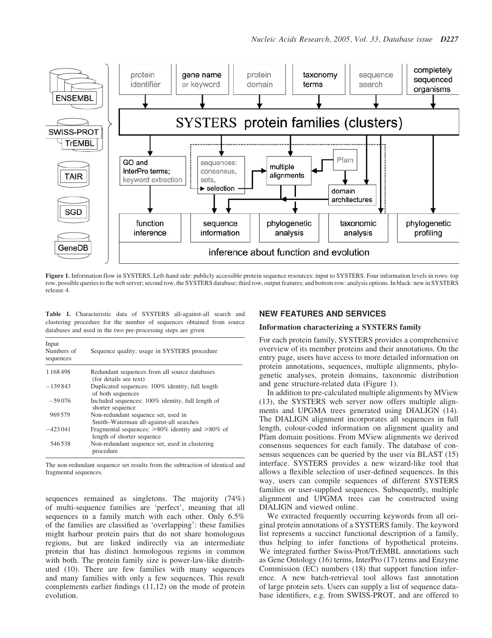

Figure 1. Information flow in SYSTERS. Left-hand side: publicly accessible protein sequence resources: input to SYSTERS. Four information levels in rows: top row, possible queries to the web server; second row, the SYSTERS database; third row, output features; and bottom row: analysis options. In black: new in SYSTERS release 4.

Table 1. Characteristic data of SYSTERS all-against-all search and clustering procedure for the number of sequences obtained from source databases and used in the two pre-processing steps are given

| Input<br>Numbers of<br>sequences | Sequence quality; usage in SYSTERS procedure                                                |  |  |  |
|----------------------------------|---------------------------------------------------------------------------------------------|--|--|--|
| 1168498                          | Redundant sequences from all source databases<br>(for details see text)                     |  |  |  |
| $-139843$                        | Duplicated sequences: 100% identity, full length<br>of both sequences                       |  |  |  |
| $-59076$                         | Included sequences: 100% identity, full length of<br>shorter sequence                       |  |  |  |
| 969579                           | Non-redundant sequence set, used in<br>Smith-Waterman all-against-all searches              |  |  |  |
| $-423041$                        | Fragmental sequences: $\geq 80\%$ identity and $\geq 80\%$ of<br>length of shorter sequence |  |  |  |
| 546538                           | Non-redundant sequence set, used in clustering<br>procedure                                 |  |  |  |

The non-redundant sequence set results from the subtraction of identical and fragmental sequences.

sequences remained as singletons. The majority (74%) of multi-sequence families are 'perfect', meaning that all sequences in a family match with each other. Only 6.5% of the families are classified as 'overlapping': these families might harbour protein pairs that do not share homologous regions, but are linked indirectly via an intermediate protein that has distinct homologous regions in common with both. The protein family size is power-law-like distributed (10). There are few families with many sequences and many families with only a few sequences. This result complements earlier findings (11,12) on the mode of protein evolution.

### NEW FEATURES AND SERVICES

#### Information characterizing a SYSTERS family

For each protein family, SYSTERS provides a comprehensive overview of its member proteins and their annotations. On the entry page, users have access to more detailed information on protein annotations, sequences, multiple alignments, phylogenetic analyses, protein domains, taxonomic distribution and gene structure-related data (Figure 1).

In addition to pre-calculated multiple alignments by MView (13), the SYSTERS web server now offers multiple alignments and UPGMA trees generated using DIALIGN (14). The DIALIGN alignment incorporates all sequences in full length, colour-coded information on alignment quality and Pfam domain positions. From MView alignments we derived consensus sequences for each family. The database of consensus sequences can be queried by the user via BLAST (15) interface. SYSTERS provides a new wizard-like tool that allows a flexible selection of user-defined sequences. In this way, users can compile sequences of different SYSTERS families or user-supplied sequences. Subsequently, multiple alignment and UPGMA trees can be constructed using DIALIGN and viewed online.

We extracted frequently occurring keywords from all original protein annotations of a SYSTERS family. The keyword list represents a succinct functional description of a family, thus helping to infer functions of hypothetical proteins. We integrated further Swiss-Prot/TrEMBL annotations such as Gene Ontology (16) terms, InterPro (17) terms and Enzyme Commission (EC) numbers (18) that support function inference. A new batch-retrieval tool allows fast annotation of large protein sets. Users can supply a list of sequence database identifiers, e.g. from SWISS-PROT, and are offered to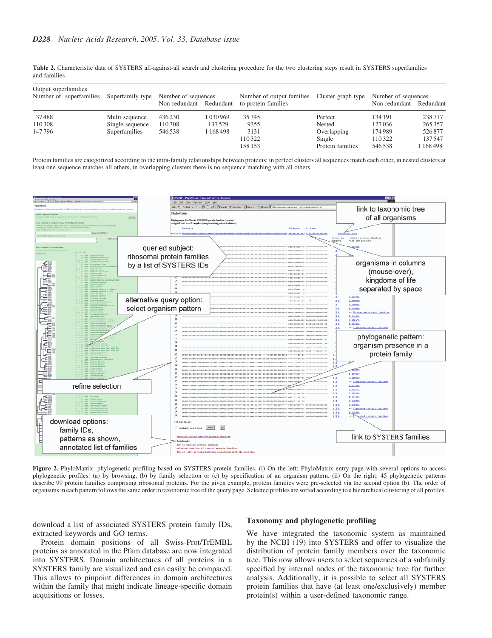Table 2. Characteristic data of SYSTERS all-against-all search and clustering procedure for the two clustering steps result in SYSTERS superfamilies and families

| Output superfamilies<br>Number of superfamilies Superfamily type |                                   | Number of sequences<br>Non-redundant Redundant |                         | Number of output families<br>to protein families | Cluster graph type                        | Number of sequences<br>Non-redundant Redundant |                               |
|------------------------------------------------------------------|-----------------------------------|------------------------------------------------|-------------------------|--------------------------------------------------|-------------------------------------------|------------------------------------------------|-------------------------------|
| 37488<br>110308                                                  | Multi sequence<br>Single sequence | 436230<br>110308                               | 1 0 3 0 9 6 9<br>137529 | 35 345<br>9355                                   | Perfect<br>Nested                         | 134 191<br>127036                              | 238717<br>265357              |
| 147796                                                           | Superfamilies                     | 546538                                         | 1 1 6 4 4 9 8           | 3131<br>110322<br>158 153                        | Overlapping<br>Single<br>Protein families | 174989<br>110322<br>546538                     | 526877<br>137547<br>1 168 498 |

Protein families are categorized according to the intra-family relationships between proteins: in perfect clusters all sequences match each other, in nested clusters at least one sequence matches all others, in overlapping clusters there is no sequence matching with all others.



Figure 2. PhyloMatrix: phylogenetic profiling based on SYSTERS protein families. (i) On the left: PhyloMatrix entry page with several options to access phylogenetic profiles: (a) by browsing, (b) by family selection or (c) by specification of an organism pattern. (ii) On the right: 45 phylogenetic patterns describe 99 protein families comprising ribosomal proteins. For the given example, protein families were pre-selected via the second option (b). The order of organisms in each pattern follows the same order in taxonomic tree of the query page. Selected profiles are sorted according to a hierarchical clustering of all profiles.

download a list of associated SYSTERS protein family IDs, extracted keywords and GO terms.

Protein domain positions of all Swiss-Prot/TrEMBL proteins as annotated in the Pfam database are now integrated into SYSTERS. Domain architectures of all proteins in a SYSTERS family are visualized and can easily be compared. This allows to pinpoint differences in domain architectures within the family that might indicate lineage-specific domain acquisitions or losses.

#### Taxonomy and phylogenetic profiling

We have integrated the taxonomic system as maintained by the NCBI (19) into SYSTERS and offer to visualize the distribution of protein family members over the taxonomic tree. This now allows users to select sequences of a subfamily specified by internal nodes of the taxonomic tree for further analysis. Additionally, it is possible to select all SYSTERS protein families that have (at least one/exclusively) member protein(s) within a user-defined taxonomic range.